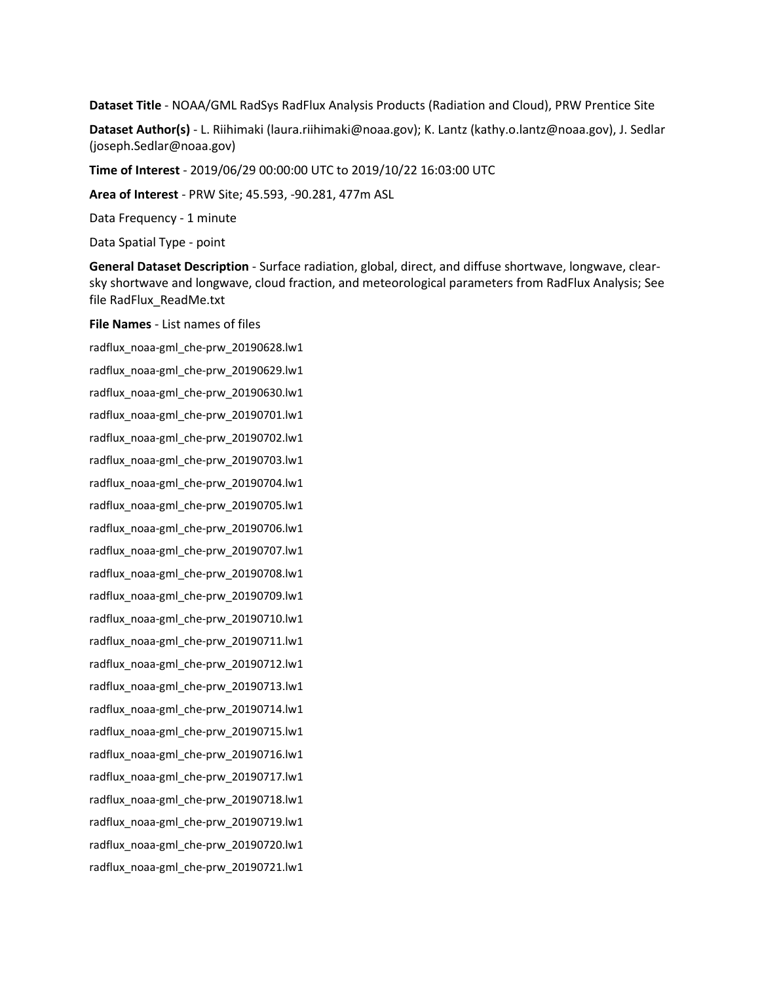**Dataset Title** - NOAA/GML RadSys RadFlux Analysis Products (Radiation and Cloud), PRW Prentice Site

**Dataset Author(s)** - L. Riihimaki (laura.riihimaki@noaa.gov); K. Lantz (kathy.o.lantz@noaa.gov), J. Sedlar (joseph.Sedlar@noaa.gov)

**Time of Interest** - 2019/06/29 00:00:00 UTC to 2019/10/22 16:03:00 UTC

**Area of Interest** - PRW Site; 45.593, -90.281, 477m ASL

Data Frequency - 1 minute

Data Spatial Type - point

**General Dataset Description** - Surface radiation, global, direct, and diffuse shortwave, longwave, clearsky shortwave and longwave, cloud fraction, and meteorological parameters from RadFlux Analysis; See file RadFlux\_ReadMe.txt

**File Names** - List names of files

radflux\_noaa-gml\_che-prw\_20190628.lw1 radflux\_noaa-gml\_che-prw\_20190629.lw1 radflux\_noaa-gml\_che-prw\_20190630.lw1 radflux\_noaa-gml\_che-prw\_20190701.lw1 radflux\_noaa-gml\_che-prw\_20190702.lw1 radflux\_noaa-gml\_che-prw\_20190703.lw1 radflux\_noaa-gml\_che-prw\_20190704.lw1 radflux\_noaa-gml\_che-prw\_20190705.lw1 radflux\_noaa-gml\_che-prw\_20190706.lw1 radflux\_noaa-gml\_che-prw\_20190707.lw1 radflux\_noaa-gml\_che-prw\_20190708.lw1 radflux\_noaa-gml\_che-prw\_20190709.lw1 radflux\_noaa-gml\_che-prw\_20190710.lw1 radflux\_noaa-gml\_che-prw\_20190711.lw1 radflux\_noaa-gml\_che-prw\_20190712.lw1 radflux\_noaa-gml\_che-prw\_20190713.lw1 radflux\_noaa-gml\_che-prw\_20190714.lw1 radflux\_noaa-gml\_che-prw\_20190715.lw1 radflux\_noaa-gml\_che-prw\_20190716.lw1 radflux\_noaa-gml\_che-prw\_20190717.lw1 radflux\_noaa-gml\_che-prw\_20190718.lw1 radflux\_noaa-gml\_che-prw\_20190719.lw1 radflux\_noaa-gml\_che-prw\_20190720.lw1 radflux\_noaa-gml\_che-prw\_20190721.lw1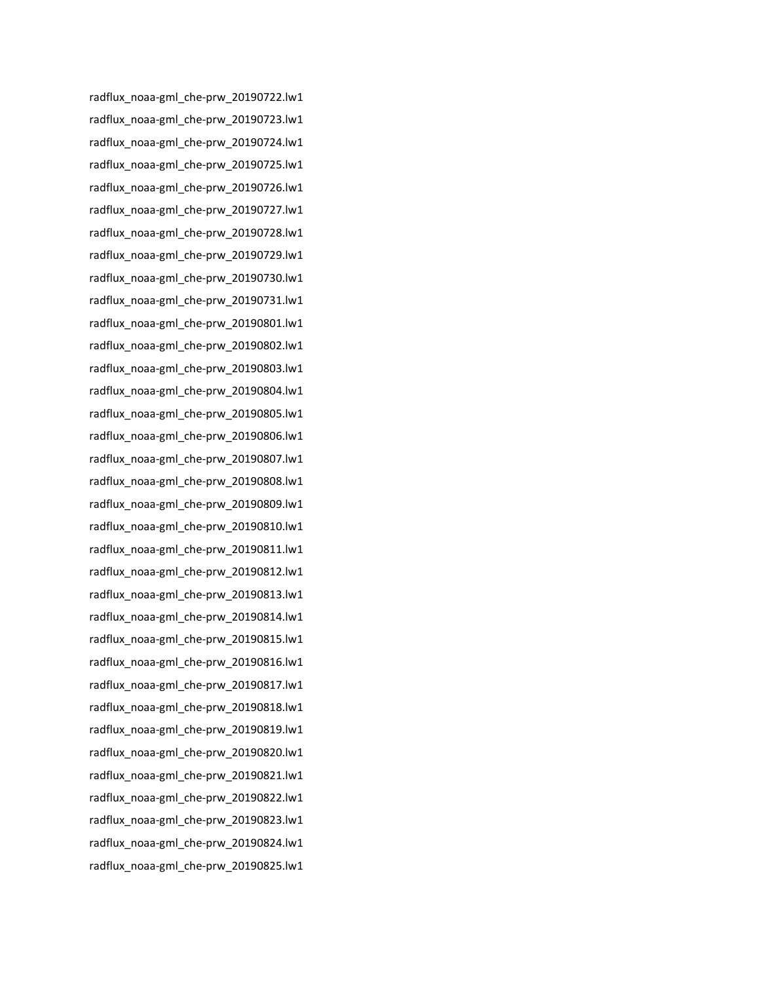radflux\_noaa-gml\_che-prw\_20190722.lw1 radflux\_noaa-gml\_che-prw\_20190723.lw1 radflux\_noaa-gml\_che-prw\_20190724.lw1 radflux\_noaa-gml\_che-prw\_20190725.lw1 radflux\_noaa-gml\_che-prw\_20190726.lw1 radflux\_noaa-gml\_che-prw\_20190727.lw1 radflux\_noaa-gml\_che-prw\_20190728.lw1 radflux\_noaa-gml\_che-prw\_20190729.lw1 radflux\_noaa-gml\_che-prw\_20190730.lw1 radflux\_noaa-gml\_che-prw\_20190731.lw1 radflux\_noaa-gml\_che-prw\_20190801.lw1 radflux\_noaa-gml\_che-prw\_20190802.lw1 radflux\_noaa-gml\_che-prw\_20190803.lw1 radflux\_noaa-gml\_che-prw\_20190804.lw1 radflux\_noaa-gml\_che-prw\_20190805.lw1 radflux\_noaa-gml\_che-prw\_20190806.lw1 radflux\_noaa-gml\_che-prw\_20190807.lw1 radflux\_noaa-gml\_che-prw\_20190808.lw1 radflux\_noaa-gml\_che-prw\_20190809.lw1 radflux\_noaa-gml\_che-prw\_20190810.lw1 radflux\_noaa-gml\_che-prw\_20190811.lw1 radflux\_noaa-gml\_che-prw\_20190812.lw1 radflux\_noaa-gml\_che-prw\_20190813.lw1 radflux\_noaa-gml\_che-prw\_20190814.lw1 radflux\_noaa-gml\_che-prw\_20190815.lw1 radflux\_noaa-gml\_che-prw\_20190816.lw1 radflux\_noaa-gml\_che-prw\_20190817.lw1 radflux\_noaa-gml\_che-prw\_20190818.lw1 radflux\_noaa-gml\_che-prw\_20190819.lw1 radflux\_noaa-gml\_che-prw\_20190820.lw1 radflux\_noaa-gml\_che-prw\_20190821.lw1 radflux\_noaa-gml\_che-prw\_20190822.lw1 radflux\_noaa-gml\_che-prw\_20190823.lw1 radflux\_noaa-gml\_che-prw\_20190824.lw1 radflux\_noaa-gml\_che-prw\_20190825.lw1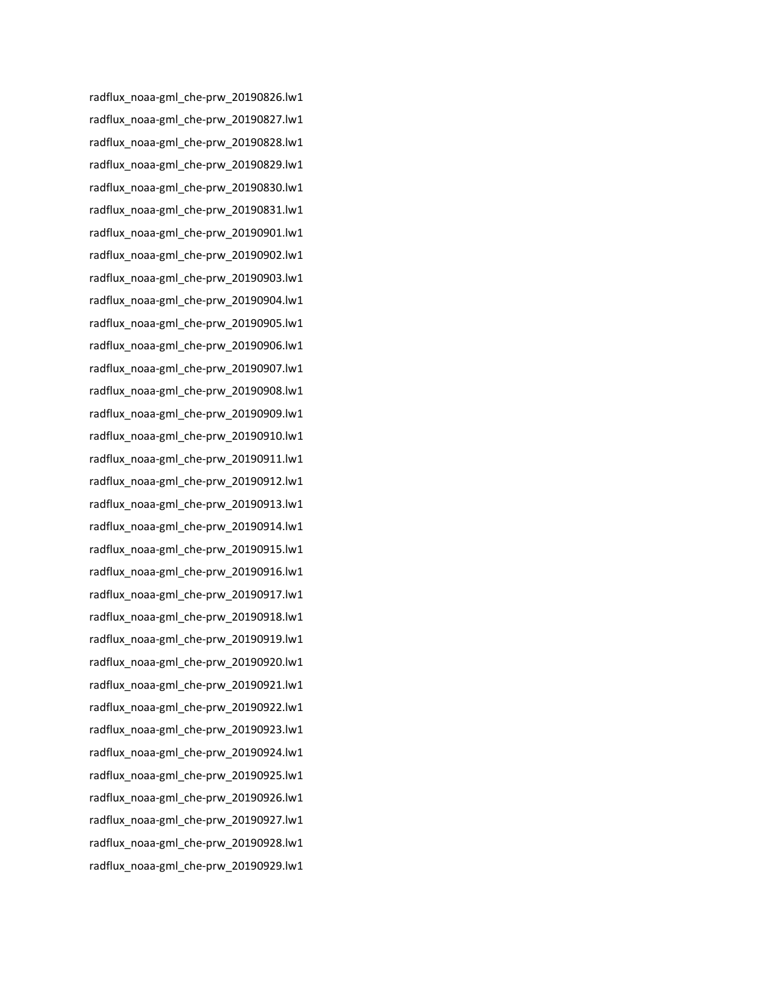radflux\_noaa-gml\_che-prw\_20190826.lw1 radflux\_noaa-gml\_che-prw\_20190827.lw1 radflux\_noaa-gml\_che-prw\_20190828.lw1 radflux\_noaa-gml\_che-prw\_20190829.lw1 radflux\_noaa-gml\_che-prw\_20190830.lw1 radflux\_noaa-gml\_che-prw\_20190831.lw1 radflux\_noaa-gml\_che-prw\_20190901.lw1 radflux\_noaa-gml\_che-prw\_20190902.lw1 radflux\_noaa-gml\_che-prw\_20190903.lw1 radflux\_noaa-gml\_che-prw\_20190904.lw1 radflux\_noaa-gml\_che-prw\_20190905.lw1 radflux\_noaa-gml\_che-prw\_20190906.lw1 radflux\_noaa-gml\_che-prw\_20190907.lw1 radflux\_noaa-gml\_che-prw\_20190908.lw1 radflux\_noaa-gml\_che-prw\_20190909.lw1 radflux\_noaa-gml\_che-prw\_20190910.lw1 radflux\_noaa-gml\_che-prw\_20190911.lw1 radflux\_noaa-gml\_che-prw\_20190912.lw1 radflux\_noaa-gml\_che-prw\_20190913.lw1 radflux\_noaa-gml\_che-prw\_20190914.lw1 radflux\_noaa-gml\_che-prw\_20190915.lw1 radflux\_noaa-gml\_che-prw\_20190916.lw1 radflux\_noaa-gml\_che-prw\_20190917.lw1 radflux\_noaa-gml\_che-prw\_20190918.lw1 radflux\_noaa-gml\_che-prw\_20190919.lw1 radflux\_noaa-gml\_che-prw\_20190920.lw1 radflux\_noaa-gml\_che-prw\_20190921.lw1 radflux\_noaa-gml\_che-prw\_20190922.lw1 radflux\_noaa-gml\_che-prw\_20190923.lw1 radflux\_noaa-gml\_che-prw\_20190924.lw1 radflux\_noaa-gml\_che-prw\_20190925.lw1 radflux\_noaa-gml\_che-prw\_20190926.lw1 radflux\_noaa-gml\_che-prw\_20190927.lw1 radflux\_noaa-gml\_che-prw\_20190928.lw1 radflux\_noaa-gml\_che-prw\_20190929.lw1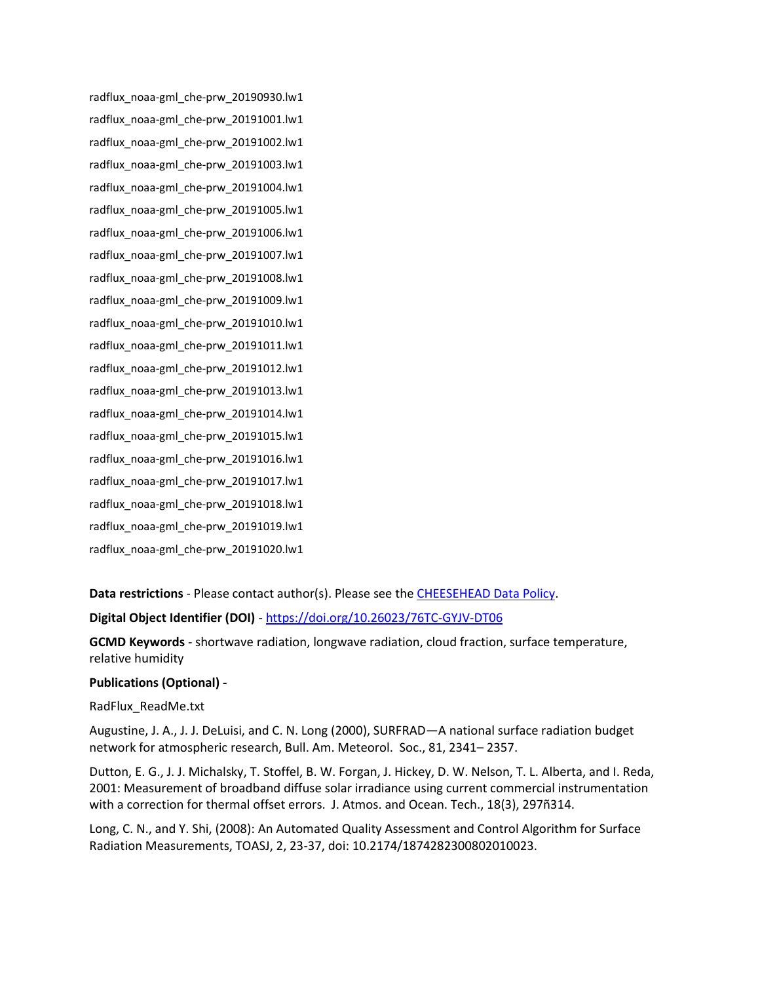radflux\_noaa-gml\_che-prw\_20190930.lw1 radflux\_noaa-gml\_che-prw\_20191001.lw1 radflux\_noaa-gml\_che-prw\_20191002.lw1 radflux\_noaa-gml\_che-prw\_20191003.lw1 radflux\_noaa-gml\_che-prw\_20191004.lw1 radflux\_noaa-gml\_che-prw\_20191005.lw1 radflux\_noaa-gml\_che-prw\_20191006.lw1 radflux\_noaa-gml\_che-prw\_20191007.lw1 radflux\_noaa-gml\_che-prw\_20191008.lw1 radflux\_noaa-gml\_che-prw\_20191009.lw1 radflux\_noaa-gml\_che-prw\_20191010.lw1 radflux\_noaa-gml\_che-prw\_20191011.lw1 radflux\_noaa-gml\_che-prw\_20191012.lw1 radflux\_noaa-gml\_che-prw\_20191013.lw1 radflux\_noaa-gml\_che-prw\_20191014.lw1 radflux\_noaa-gml\_che-prw\_20191015.lw1 radflux\_noaa-gml\_che-prw\_20191016.lw1 radflux\_noaa-gml\_che-prw\_20191017.lw1 radflux\_noaa-gml\_che-prw\_20191018.lw1 radflux\_noaa-gml\_che-prw\_20191019.lw1 radflux\_noaa-gml\_che-prw\_20191020.lw1

**Data restrictions** - Please contact author(s). Please see the [CHEESEHEAD Data Policy.](https://www.eol.ucar.edu/content/cheesehead-data-policy)

**Digital Object Identifier (DOI)** - <https://doi.org/10.26023/76TC-GYJV-DT06>

**GCMD Keywords** - shortwave radiation, longwave radiation, cloud fraction, surface temperature, relative humidity

## **Publications (Optional) -**

## RadFlux\_ReadMe.txt

Augustine, J. A., J. J. DeLuisi, and C. N. Long (2000), SURFRAD—A national surface radiation budget network for atmospheric research, Bull. Am. Meteorol. Soc., 81, 2341– 2357.

Dutton, E. G., J. J. Michalsky, T. Stoffel, B. W. Forgan, J. Hickey, D. W. Nelson, T. L. Alberta, and I. Reda, 2001: Measurement of broadband diffuse solar irradiance using current commercial instrumentation with a correction for thermal offset errors. J. Atmos. and Ocean. Tech., 18(3), 297ñ314.

Long, C. N., and Y. Shi, (2008): An Automated Quality Assessment and Control Algorithm for Surface Radiation Measurements, TOASJ, 2, 23-37, doi: 10.2174/1874282300802010023.